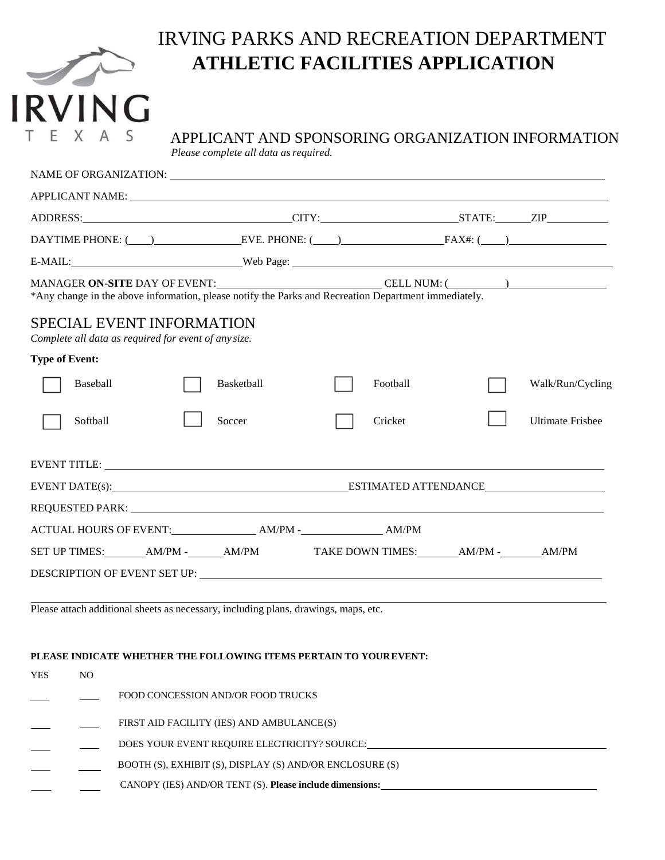|  |  | <b>RVING</b> |  |
|--|--|--------------|--|
|  |  |              |  |

## IRVING PARKS AND RECREATION DEPARTMENT **ATHLETIC FACILITIES APPLICATION**

# APPLICANT AND SPONSORING ORGANIZATION INFORMATION

*Please complete all data as required.* 

| APPLICANT NAME: University of the contract of the contract of the contract of the contract of the contract of the contract of the contract of the contract of the contract of the contract of the contract of the contract of  |            |          |  |                         |
|--------------------------------------------------------------------------------------------------------------------------------------------------------------------------------------------------------------------------------|------------|----------|--|-------------------------|
|                                                                                                                                                                                                                                |            |          |  |                         |
| DAYTIME PHONE: $\qquad)$ EVE. PHONE: $\qquad)$ FAX#: $\qquad)$                                                                                                                                                                 |            |          |  |                         |
| E-MAIL: Web Page: Web Page:                                                                                                                                                                                                    |            |          |  |                         |
| MANAGER ON-SITE DAY OF EVENT:<br>*Any change in the above information, please notify the Parks and Recreation Department immediately.                                                                                          |            |          |  |                         |
| <b>SPECIAL EVENT INFORMATION</b><br>Complete all data as required for event of any size.                                                                                                                                       |            |          |  |                         |
| <b>Type of Event:</b>                                                                                                                                                                                                          |            |          |  |                         |
| Baseball                                                                                                                                                                                                                       | Basketball | Football |  | Walk/Run/Cycling        |
| Softball                                                                                                                                                                                                                       | Soccer     | Cricket  |  | <b>Ultimate Frisbee</b> |
| EVENT TITLE: University of the contract of the contract of the contract of the contract of the contract of the contract of the contract of the contract of the contract of the contract of the contract of the contract of the |            |          |  |                         |
|                                                                                                                                                                                                                                |            |          |  |                         |
|                                                                                                                                                                                                                                |            |          |  |                         |
|                                                                                                                                                                                                                                |            |          |  |                         |
| SET UP TIMES: ________AM/PM -_______AM/PM TAKE DOWN TIMES: _______AM/PM -_______AM/PM                                                                                                                                          |            |          |  |                         |
|                                                                                                                                                                                                                                |            |          |  |                         |
|                                                                                                                                                                                                                                |            |          |  |                         |

Please attach additional sheets as necessary, including plans, drawings, maps, etc.

## **PLEASE INDICATE WHETHER THE FOLLOWING ITEMS PERTAIN TO YOUREVENT:**

| YES | NO. |                                                          |
|-----|-----|----------------------------------------------------------|
|     |     | FOOD CONCESSION AND/OR FOOD TRUCKS                       |
|     |     | FIRST AID FACILITY (IES) AND AMBULANCE(S)                |
|     |     | DOES YOUR EVENT REQUIRE ELECTRICITY? SOURCE:             |
|     |     | BOOTH (S), EXHIBIT (S), DISPLAY (S) AND/OR ENCLOSURE (S) |
|     |     | CANOPY (IES) AND/OR TENT (S). Please include dimensions: |